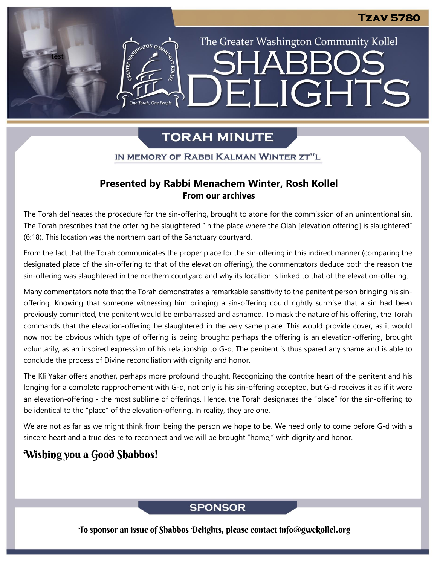The Greater Washington Community Kollel

ELIGHTS

# **TORAH MINUTE**

IN MEMORY OF RABBI KALMAN WINTER ZT"L

### **Presented by Rabbi Menachem Winter, Rosh Kollel From our archives**

The Torah delineates the procedure for the sin-offering, brought to atone for the commission of an unintentional sin. The Torah prescribes that the offering be slaughtered "in the place where the Olah [elevation offering] is slaughtered" (6:18). This location was the northern part of the Sanctuary courtyard.

From the fact that the Torah communicates the proper place for the sin-offering in this indirect manner (comparing the designated place of the sin-offering to that of the elevation offering), the commentators deduce both the reason the sin-offering was slaughtered in the northern courtyard and why its location is linked to that of the elevation-offering.

Many commentators note that the Torah demonstrates a remarkable sensitivity to the penitent person bringing his sinoffering. Knowing that someone witnessing him bringing a sin-offering could rightly surmise that a sin had been previously committed, the penitent would be embarrassed and ashamed. To mask the nature of his offering, the Torah commands that the elevation-offering be slaughtered in the very same place. This would provide cover, as it would now not be obvious which type of offering is being brought; perhaps the offering is an elevation-offering, brought voluntarily, as an inspired expression of his relationship to G-d. The penitent is thus spared any shame and is able to conclude the process of Divine reconciliation with dignity and honor.

The Kli Yakar offers another, perhaps more profound thought. Recognizing the contrite heart of the penitent and his longing for a complete rapprochement with G-d, not only is his sin-offering accepted, but G-d receives it as if it were an elevation-offering - the most sublime of offerings. Hence, the Torah designates the "place" for the sin-offering to be identical to the "place" of the elevation-offering. In reality, they are one.

We are not as far as we might think from being the person we hope to be. We need only to come before G-d with a sincere heart and a true desire to reconnect and we will be brought "home," with dignity and honor.

# Wishing you a Good Shabbos!

test

## **SPONSOR**

To sponsor an issue of Shabbos Delights, please contact info@gwckollel.org